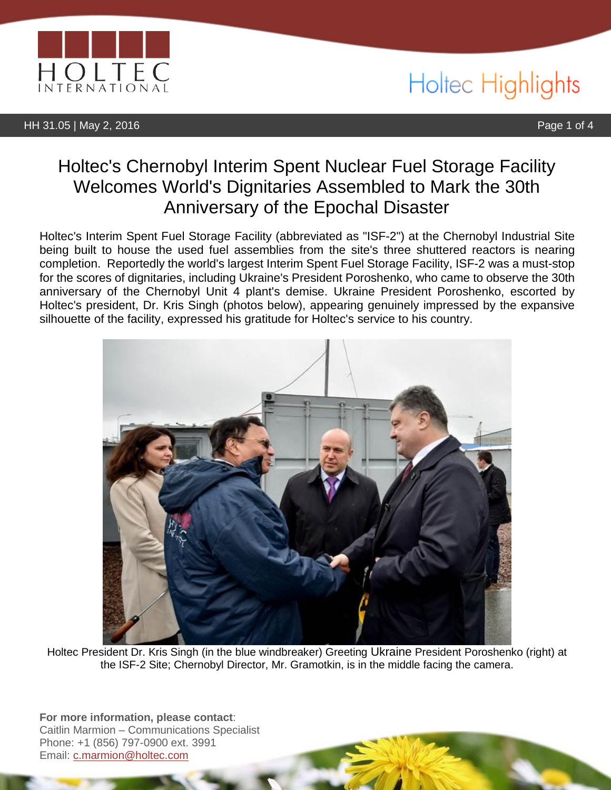

HH 31.05 | May 2, 2016 Page 1 of 4

## Holtec Highlights

### Holtec's Chernobyl Interim Spent Nuclear Fuel Storage Facility Welcomes World's Dignitaries Assembled to Mark the 30th Anniversary of the Epochal Disaster

Holtec's Interim Spent Fuel Storage Facility (abbreviated as "ISF-2") at the Chernobyl Industrial Site being built to house the used fuel assemblies from the site's three shuttered reactors is nearing completion. Reportedly the world's largest Interim Spent Fuel Storage Facility, ISF-2 was a must-stop for the scores of dignitaries, including Ukraine's President Poroshenko, who came to observe the 30th anniversary of the Chernobyl Unit 4 plant's demise. Ukraine President Poroshenko, escorted by Holtec's president, Dr. Kris Singh (photos below), appearing genuinely impressed by the expansive silhouette of the facility, expressed his gratitude for Holtec's service to his country.



Holtec President Dr. Kris Singh (in the blue windbreaker) Greeting Ukraine President Poroshenko (right) at the ISF-2 Site; Chernobyl Director, Mr. Gramotkin, is in the middle facing the camera.

**For more information, please contact**: Caitlin Marmion – Communications Specialist Phone: +1 (856) 797-0900 ext. 3991 Email: [c.marmion@holtec.com](mailto:c.marmion@holtec.com)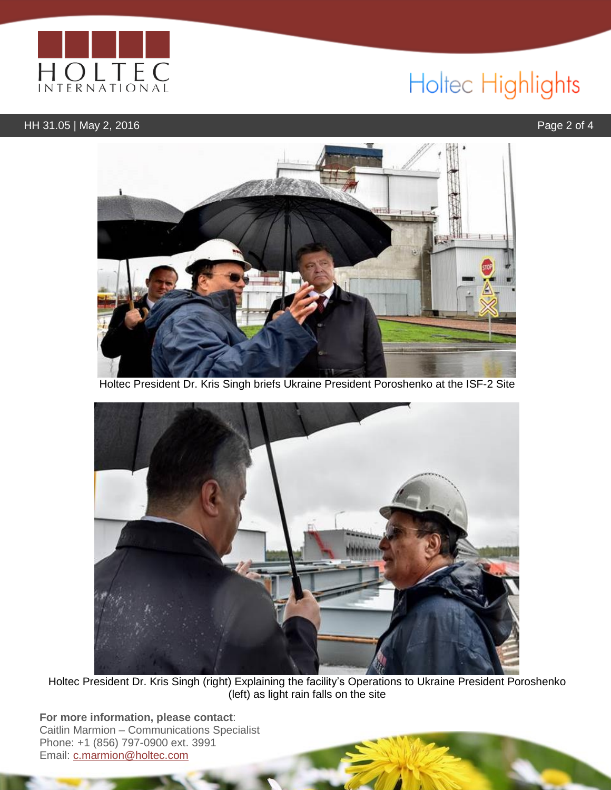

# Holtec Highlights

### HH 31.05 | May 2, 2016 **Page 2 of 4**



Holtec President Dr. Kris Singh briefs Ukraine President Poroshenko at the ISF-2 Site



Holtec President Dr. Kris Singh (right) Explaining the facility's Operations to Ukraine President Poroshenko (left) as light rain falls on the site

**For more information, please contact**: Caitlin Marmion – Communications Specialist Phone: +1 (856) 797-0900 ext. 3991 Email: [c.marmion@holtec.com](mailto:c.marmion@holtec.com)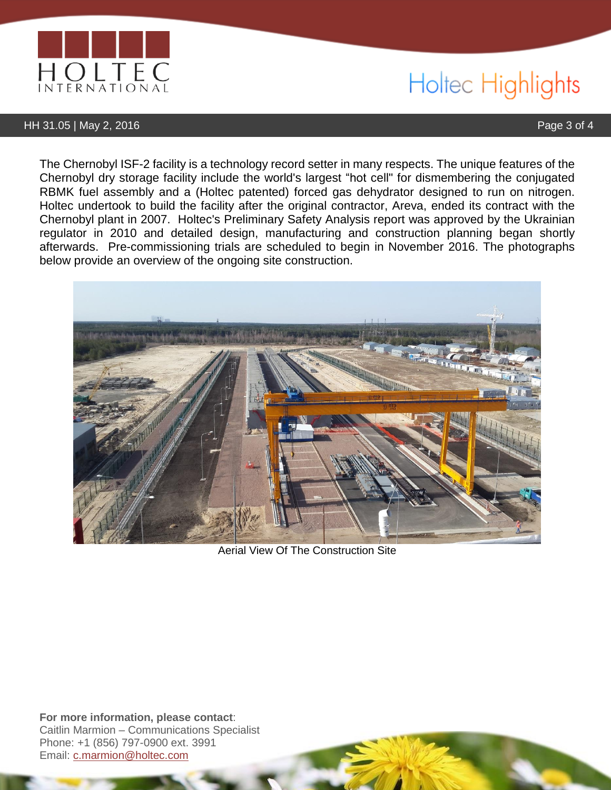

# Holtec Highlights

#### HH 31.05 | May 2, 2016 Page 3 of 4

The Chernobyl ISF-2 facility is a technology record setter in many respects. The unique features of the Chernobyl dry storage facility include the world's largest "hot cell" for dismembering the conjugated RBMK fuel assembly and a (Holtec patented) forced gas dehydrator designed to run on nitrogen. Holtec undertook to build the facility after the original contractor, Areva, ended its contract with the Chernobyl plant in 2007. Holtec's Preliminary Safety Analysis report was approved by the Ukrainian regulator in 2010 and detailed design, manufacturing and construction planning began shortly afterwards. Pre-commissioning trials are scheduled to begin in November 2016. The photographs below provide an overview of the ongoing site construction.



Aerial View Of The Construction Site

**For more information, please contact**: Caitlin Marmion – Communications Specialist Phone: +1 (856) 797-0900 ext. 3991 Email: [c.marmion@holtec.com](mailto:c.marmion@holtec.com)